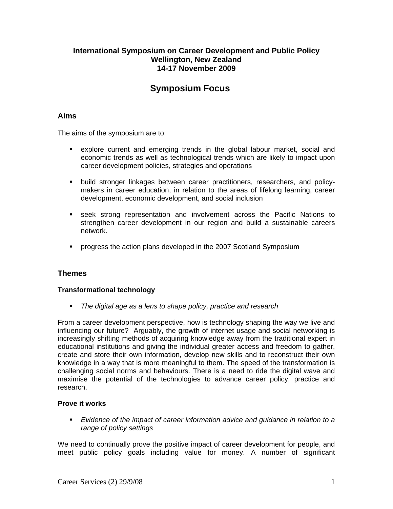## **International Symposium on Career Development and Public Policy Wellington, New Zealand 14-17 November 2009**

# **Symposium Focus**

## **Aims**

The aims of the symposium are to:

- explore current and emerging trends in the global labour market, social and economic trends as well as technological trends which are likely to impact upon career development policies, strategies and operations
- build stronger linkages between career practitioners, researchers, and policymakers in career education, in relation to the areas of lifelong learning, career development, economic development, and social inclusion
- seek strong representation and involvement across the Pacific Nations to strengthen career development in our region and build a sustainable careers network.
- **PEDECISY 10 TE 2007** Scotland Symposium

# **Themes**

#### **Transformational technology**

*The digital age as a lens to shape policy, practice and research* 

From a career development perspective, how is technology shaping the way we live and influencing our future? Arguably, the growth of internet usage and social networking is increasingly shifting methods of acquiring knowledge away from the traditional expert in educational institutions and giving the individual greater access and freedom to gather, create and store their own information, develop new skills and to reconstruct their own knowledge in a way that is more meaningful to them. The speed of the transformation is challenging social norms and behaviours. There is a need to ride the digital wave and maximise the potential of the technologies to advance career policy, practice and research.

#### **Prove it works**

 *Evidence of the impact of career information advice and guidance in relation to a range of policy settings* 

We need to continually prove the positive impact of career development for people, and meet public policy goals including value for money. A number of significant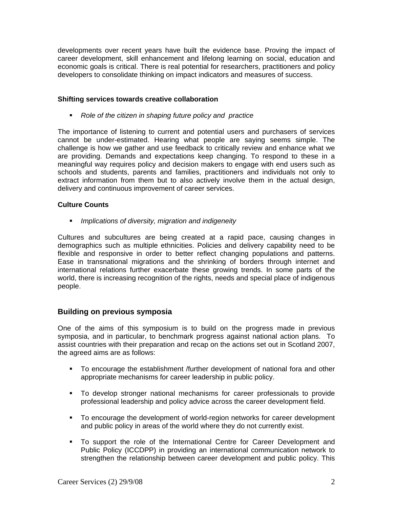developments over recent years have built the evidence base. Proving the impact of career development, skill enhancement and lifelong learning on social, education and economic goals is critical. There is real potential for researchers, practitioners and policy developers to consolidate thinking on impact indicators and measures of success.

#### **Shifting services towards creative collaboration**

*Role of the citizen in shaping future policy and practice* 

The importance of listening to current and potential users and purchasers of services cannot be under-estimated. Hearing what people are saying seems simple. The challenge is how we gather and use feedback to critically review and enhance what we are providing. Demands and expectations keep changing. To respond to these in a meaningful way requires policy and decision makers to engage with end users such as schools and students, parents and families, practitioners and individuals not only to extract information from them but to also actively involve them in the actual design, delivery and continuous improvement of career services.

#### **Culture Counts**

*Implications of diversity, migration and indigeneity* 

Cultures and subcultures are being created at a rapid pace, causing changes in demographics such as multiple ethnicities. Policies and delivery capability need to be flexible and responsive in order to better reflect changing populations and patterns. Ease in transnational migrations and the shrinking of borders through internet and international relations further exacerbate these growing trends. In some parts of the world, there is increasing recognition of the rights, needs and special place of indigenous people.

#### **Building on previous symposia**

One of the aims of this symposium is to build on the progress made in previous symposia, and in particular, to benchmark progress against national action plans. To assist countries with their preparation and recap on the actions set out in Scotland 2007, the agreed aims are as follows:

- To encourage the establishment /further development of national fora and other appropriate mechanisms for career leadership in public policy.
- To develop stronger national mechanisms for career professionals to provide professional leadership and policy advice across the career development field.
- To encourage the development of world-region networks for career development and public policy in areas of the world where they do not currently exist.
- To support the role of the International Centre for Career Development and Public Policy (ICCDPP) in providing an international communication network to strengthen the relationship between career development and public policy. This